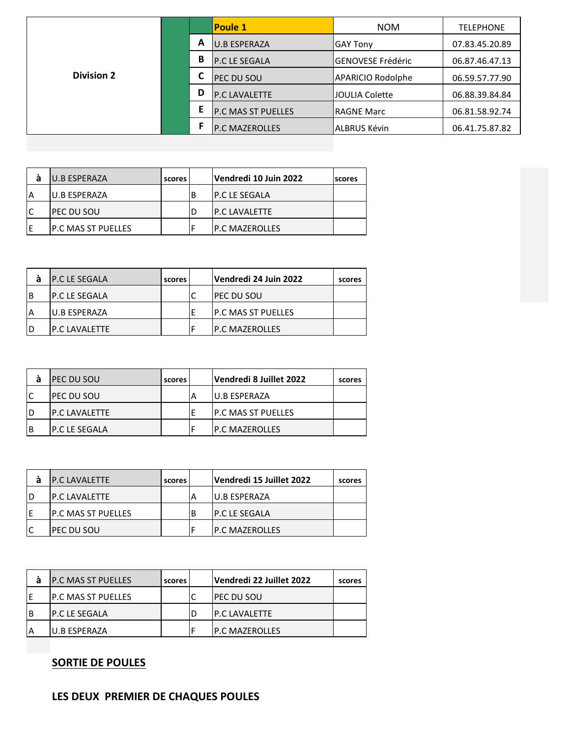|                   |   | <b>Poule 1</b>            | <b>NOM</b>               | <b>TELEPHONE</b> |
|-------------------|---|---------------------------|--------------------------|------------------|
|                   | Α | <b>U.B ESPERAZA</b>       | <b>GAY Tony</b>          | 07.83.45.20.89   |
|                   | B | <b>P.C LE SEGALA</b>      | <b>GENOVESE Frédéric</b> | 06.87.46.47.13   |
| <b>Division 2</b> |   | <b>PEC DU SOU</b>         | <b>APARICIO Rodolphe</b> | 06.59.57.77.90   |
|                   | D | <b>P.C LAVALETTE</b>      | <b>JOULIA Colette</b>    | 06.88.39.84.84   |
|                   | Е | <b>P.C MAS ST PUELLES</b> | IRAGNE Marc              | 06.81.58.92.74   |
|                   |   | <b>P.C MAZEROLLES</b>     | ALBRUS Kévin             | 06.41.75.87.82   |

| а  | IU.B ESPERAZA       | scores | Vendredi 10 Juin 2022 | <b>scores</b> |
|----|---------------------|--------|-----------------------|---------------|
| ΙA | IU.B ESPERAZA       |        | IP.C LE SEGALA        |               |
|    | ipec du Sou         |        | <b>IP.C LAVALETTE</b> |               |
| F  | IP.C MAS ST PUELLES |        | IP.C MAZEROLLES       |               |

| а | <b>P.C LE SEGALA</b> | scores | Vendredi 24 Juin 2022      | scores |
|---|----------------------|--------|----------------------------|--------|
| B | IP.C LE SEGALA       |        | <b>IPEC DU SOU</b>         |        |
| A | IU.B ESPERAZA        |        | <b>IP.C MAS ST PUELLES</b> |        |
| D | IP.C.I AVAI FTTF     |        | <b>IP.C MAZEROLLES</b>     |        |

| а  | <b>PEC DU SOU</b>     | scores |   | Vendredi 8 Juillet 2022   | scores |
|----|-----------------------|--------|---|---------------------------|--------|
| lC | <b>IPEC DU SOU</b>    |        | Α | IU.B ESPERAZA             |        |
| ID | <b>IP.C LAVALETTE</b> |        |   | <b>P.C MAS ST PUELLES</b> |        |
| ΙB | IP.C LE SEGALA        |        |   | <b>IP.C MAZEROLLES</b>    |        |

| а | IP.C LAVALETTE             | scores |   | Vendredi 15 Juillet 2022 | scores |
|---|----------------------------|--------|---|--------------------------|--------|
|   | IP.C LAVALETTE             |        |   | IU.B ESPERAZA            |        |
| Е | <b>IP.C MAS ST PUELLES</b> |        | В | IP.C LE SEGALA           |        |
|   | <b>IPEC DU SOU</b>         |        |   | <b>IP.C MAZEROLLES</b>   |        |

| а | <b>IP.C MAS ST PUELLES</b> | scores | Vendredi 22 Juillet 2022 | scores |
|---|----------------------------|--------|--------------------------|--------|
| F | <b>P.C MAS ST PUELLES</b>  |        | <b>IPEC DU SOU</b>       |        |
| B | IP.C LE SEGALA             |        | <b>IP.C LAVALETTE</b>    |        |
|   | U.B ESPERAZA               |        | IP.C MAZEROLLES          |        |

## **SORTIE DE POULES**

## **LES DEUX PREMIER DE CHAQUES POULES**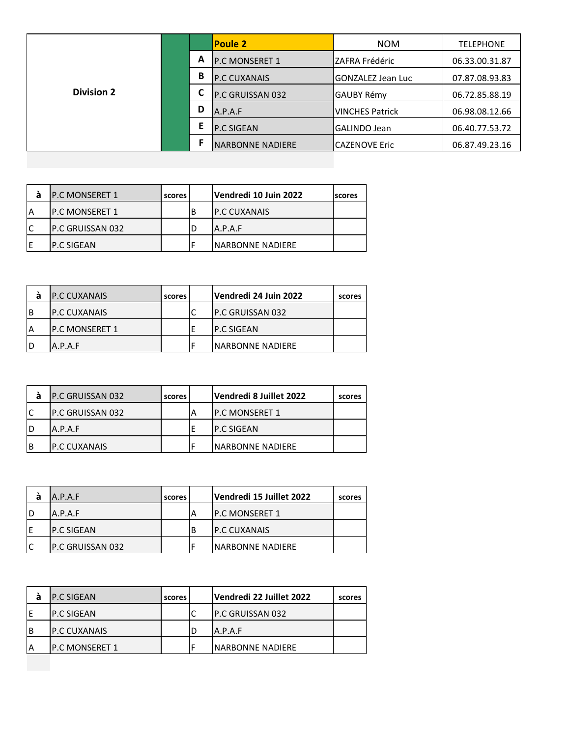|                   |   | <b>Poule 2</b>          | <b>NOM</b>               | <b>TELEPHONE</b> |
|-------------------|---|-------------------------|--------------------------|------------------|
|                   | A | <b>P.C MONSERET 1</b>   | ZAFRA Frédéric           | 06.33.00.31.87   |
|                   | B | <b>P.C CUXANAIS</b>     | <b>GONZALEZ Jean Luc</b> | 07.87.08.93.83   |
| <b>Division 2</b> |   | P.C GRUISSAN 032        | <b>GAUBY Rémy</b>        | 06.72.85.88.19   |
|                   | D | A.P.A.F                 | <b>VINCHES Patrick</b>   | 06.98.08.12.66   |
|                   | Е | <b>P.C SIGEAN</b>       | <b>GALINDO Jean</b>      | 06.40.77.53.72   |
|                   |   | <b>NARBONNE NADIERE</b> | <b>CAZENOVE Eric</b>     | 06.87.49.23.16   |

| а  | IP.C MONSERET 1   | scores l |   | Vendredi 10 Juin 2022    | scores |
|----|-------------------|----------|---|--------------------------|--------|
| ΙA | IP.C MONSERET 1   |          | В | <b>IP.C CUXANAIS</b>     |        |
| ١C | IP.C GRUISSAN 032 |          |   | A.P.A.F                  |        |
| F  | IP.C SIGEAN       |          |   | <b>INARBONNE NADIERE</b> |        |

| а | <b>P.C CUXANAIS</b>    | scores | Vendredi 24 Juin 2022    | scores |
|---|------------------------|--------|--------------------------|--------|
| B | <b>IP.C CUXANAIS</b>   |        | <b>IP.C GRUISSAN 032</b> |        |
| А | <b>IP.C MONSERET 1</b> |        | IP.C SIGEAN              |        |
| D | A.P.A.F                |        | INARBONNE NADIERE        |        |

| IP.C GRUISSAN 032        | scores | Vendredi 8 Juillet 2022  | scores |
|--------------------------|--------|--------------------------|--------|
| <b>IP.C GRUISSAN 032</b> |        | <b>IP.C MONSERET 1</b>   |        |
| A.P.A.F                  |        | <b>IP.C SIGEAN</b>       |        |
| IP.C CUXANAIS            |        | <b>INARBONNE NADIERE</b> |        |

| а | A.P.A.F           | scores |   | Vendredi 15 Juillet 2022 | scores |
|---|-------------------|--------|---|--------------------------|--------|
| D | A.P.A.F           |        | А | <b>IP.C MONSERET 1</b>   |        |
| Е | IP.C SIGEAN       |        | В | <b>IP.C CUXANAIS</b>     |        |
|   | IP.C GRUISSAN 032 |        |   | <b>INARBONNE NADIERE</b> |        |

| а  | <b>IP.C SIGEAN</b> | scores | Vendredi 22 Juillet 2022 | scores |
|----|--------------------|--------|--------------------------|--------|
|    | IP.C SIGEAN        |        | <b>IP.C GRUISSAN 032</b> |        |
| B  | IP.C CUXANAIS      |        | A.P.A.F                  |        |
| ۱A | IP.C MONSERET 1    |        | <b>INARBONNE NADIERE</b> |        |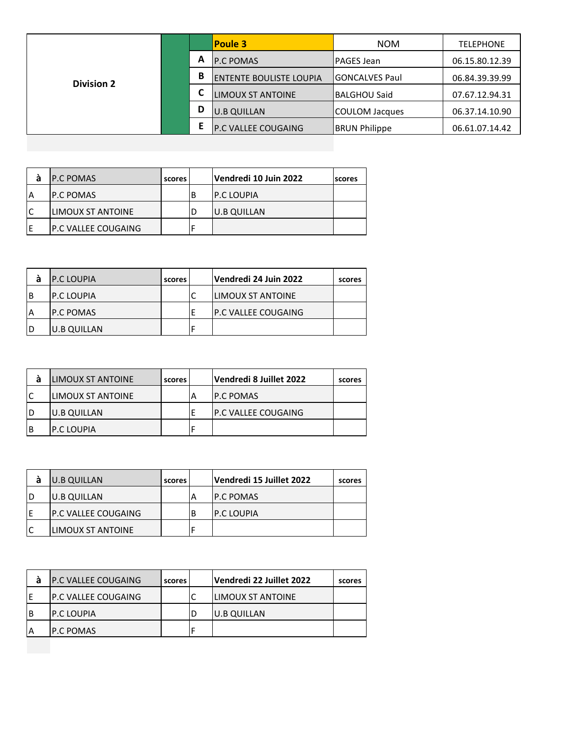|                   |   | <b>Poule 3</b>             | <b>NOM</b>           | <b>TELEPHONE</b> |
|-------------------|---|----------------------------|----------------------|------------------|
|                   | A | <b>P.C POMAS</b>           | lPAGES Jean          | 06.15.80.12.39   |
| <b>Division 2</b> | B | ENTENTE BOULISTE LOUPIA    | lGONCALVES Paul      | 06.84.39.39.99   |
|                   | C | <b>LIMOUX ST ANTOINE</b>   | <b>BALGHOU Said</b>  | 07.67.12.94.31   |
|                   | D | <b>U.B QUILLAN</b>         | COULOM Jacques       | 06.37.14.10.90   |
|                   | E | <b>P.C VALLEE COUGAING</b> | <b>BRUN Philippe</b> | 06.61.07.14.42   |

| а  | IP.C POMAS           | scores l |   | Vendredi 10 Juin 2022 | <b>Iscores</b> |
|----|----------------------|----------|---|-----------------------|----------------|
| A  | IP.C POMAS           |          | В | IP.C LOUPIA           |                |
| ١C | LIMOUX ST ANTOINE    |          |   | U.B QUILLAN           |                |
| E  | IP.C VALLEE COUGAING |          |   |                       |                |

| а | <b>P.C LOUPIA</b>  | scores | Vendredi 24 Juin 2022       | scores |
|---|--------------------|--------|-----------------------------|--------|
| B | <b>P.C LOUPIA</b>  |        | llimoux ST ANTOINE          |        |
| A | <b>IP.C POMAS</b>  |        | <b>IP.C VALLEE COUGAING</b> |        |
| D | <b>U.B QUILLAN</b> |        |                             |        |

| а            | LIMOUX ST ANTOINE        | scores |   | Vendredi 8 Juillet 2022 | scores |
|--------------|--------------------------|--------|---|-------------------------|--------|
| $\mathsf{C}$ | <b>LIMOUX ST ANTOINE</b> |        | А | IP.C POMAS              |        |
| ID           | <b>U.B QUILLAN</b>       |        |   | P.C VALLEE COUGAING     |        |
| Iв           | <b>P.C LOUPIA</b>        |        |   |                         |        |

| а | <b>U.B QUILLAN</b>          | scores |   | Vendredi 15 Juillet 2022 | scores |
|---|-----------------------------|--------|---|--------------------------|--------|
| D | U.B QUILLAN                 |        | А | <b>IP.C POMAS</b>        |        |
| Е | <b>IP.C VALLEE COUGAING</b> |        | В | <b>P.C LOUPIA</b>        |        |
|   | llimoux ST ANTOINE          |        |   |                          |        |

| а | <b>IP.C VALLEE COUGAING</b> | scores | Vendredi 22 Juillet 2022  | scores |
|---|-----------------------------|--------|---------------------------|--------|
|   | <b>IP.C VALLEE COUGAING</b> |        | <b>ILIMOUX ST ANTOINE</b> |        |
| B | IP.C LOUPIA                 |        | U.B QUILLAN               |        |
|   | IP.C POMAS                  |        |                           |        |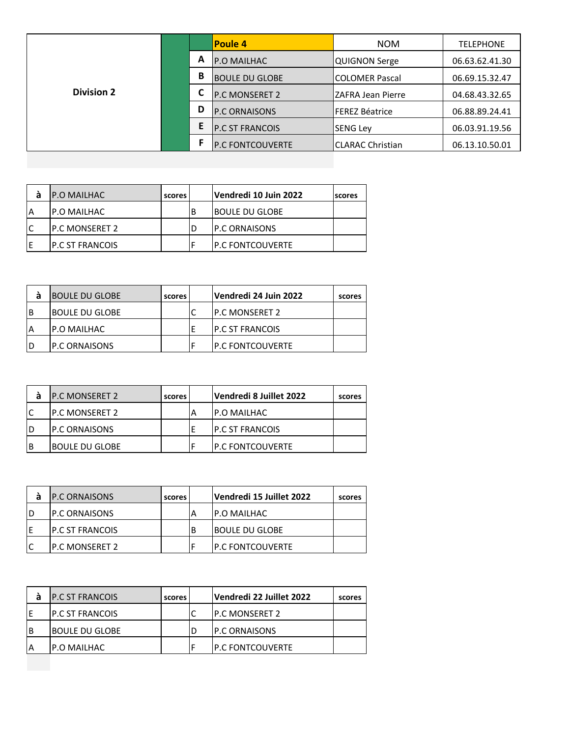|                   |   | Poule 4                 | <b>NOM</b>            | <b>TELEPHONE</b> |
|-------------------|---|-------------------------|-----------------------|------------------|
|                   | A | <b>P.O MAILHAC</b>      | QUIGNON Serge         | 06.63.62.41.30   |
|                   | B | <b>BOULE DU GLOBE</b>   | ICOLOMER Pascal       | 06.69.15.32.47   |
| <b>Division 2</b> |   | <b>P.C MONSERET 2</b>   | IZAFRA Jean Pierre    | 04.68.43.32.65   |
|                   | D | <b>P.C ORNAISONS</b>    | <b>FEREZ Béatrice</b> | 06.88.89.24.41   |
|                   | E | <b>P.C ST FRANCOIS</b>  | <b>SENG Lev</b>       | 06.03.91.19.56   |
|                   |   | <b>P.C FONTCOUVERTE</b> | ICLARAC Christian     | 06.13.10.50.01   |

| а | IP.O MAILHAC     | scores |   | Vendredi 10 Juin 2022 | <b>scores</b> |
|---|------------------|--------|---|-----------------------|---------------|
| A | IP.O MAILHAC     |        | В | IBOULE DU GLOBE       |               |
|   | IP.C MONSERET 2  |        |   | <b>P.C ORNAISONS</b>  |               |
|   | IP.C ST FRANCOIS |        |   | IP.C FONTCOUVERTE     |               |

| а | <b>BOULE DU GLOBE</b> | scores | Vendredi 24 Juin 2022   | scores |
|---|-----------------------|--------|-------------------------|--------|
| B | IBOULE DU GLOBE       |        | IP.C MONSERET 2         |        |
| A | <b>P.O MAILHAC</b>    |        | <b>IP.C ST FRANCOIS</b> |        |
| D | IP.C ORNAISONS        |        | IP.C FONTCOUVERTE       |        |

|   | <b>IP.C MONSERET 2</b> | scores |   | Vendredi 8 Juillet 2022 | scores |
|---|------------------------|--------|---|-------------------------|--------|
|   | <b>IP.C MONSERET 2</b> |        | А | IP.O MAILHAC            |        |
|   | <b>IP.C ORNAISONS</b>  |        |   | IP.C ST FRANCOIS        |        |
| B | IBOULE DU GLOBE        |        |   | IP.C FONTCOUVERTE       |        |

|    | <b>P.C ORNAISONS</b> | scores |   | Vendredi 15 Juillet 2022 | scores |
|----|----------------------|--------|---|--------------------------|--------|
| ID | <b>P.C ORNAISONS</b> |        | А | IP.O MAILHAC             |        |
| ΙE | IP.C ST FRANCOIS     |        | В | IBOULE DU GLOBE          |        |
| lC | IP.C MONSERET 2      |        |   | IP.C FONTCOUVERTE        |        |

| а | <b>IP.C ST FRANCOIS</b> | scores | Vendredi 22 Juillet 2022 | scores |
|---|-------------------------|--------|--------------------------|--------|
|   | <b>IP.C ST FRANCOIS</b> |        | IP.C MONSERET 2          |        |
| B | <b>BOULE DU GLOBE</b>   |        | <b>IP.C ORNAISONS</b>    |        |
| A | IP.O MAILHAC            |        | <b>IP.C FONTCOUVERTE</b> |        |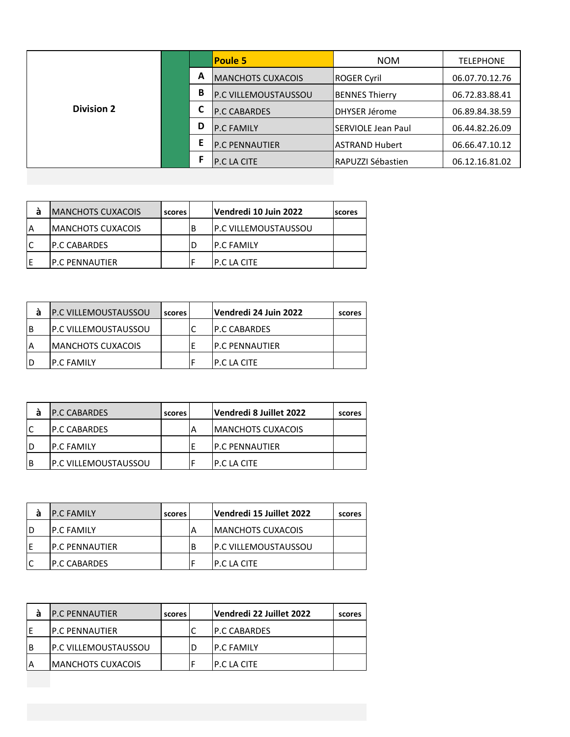|                   |   |   | <b>Poule 5</b>           | <b>NOM</b>                 | <b>TELEPHONE</b> |
|-------------------|---|---|--------------------------|----------------------------|------------------|
|                   | A |   | <b>MANCHOTS CUXACOIS</b> | ROGER Cyril                | 06.07.70.12.76   |
|                   |   | B | IP.C VILLEMOUSTAUSSOU    | <b>BENNES Thierry</b>      | 06.72.83.88.41   |
| <b>Division 2</b> |   | ⊾ | <b>P.C CABARDES</b>      | DHYSER Jérome              | 06.89.84.38.59   |
|                   |   | D | <b>P.C FAMILY</b>        | <b>ISERVIOLE Jean Paul</b> | 06.44.82.26.09   |
|                   |   | Ε | <b>P.C PENNAUTIER</b>    | lASTRAND Hubert            | 06.66.47.10.12   |
|                   |   |   | <b>P.C LA CITE</b>       | RAPUZZI Sébastien          | 06.12.16.81.02   |

| a | <b>IMANCHOTS CUXACOIS</b> | scores |   | Vendredi 10 Juin 2022        | scores |
|---|---------------------------|--------|---|------------------------------|--------|
| A | <b>IMANCHOTS CUXACOIS</b> |        | В | <b>IP.C VILLEMOUSTAUSSOU</b> |        |
|   | IP.C CABARDES             |        |   | <b>IP.C FAMILY</b>           |        |
|   | IP.C PENNAUTIER           |        |   | IP.C LA CITE                 |        |

|   | <b>IP.C VILLEMOUSTAUSSOU</b> | scores | Vendredi 24 Juin 2022  | scores |
|---|------------------------------|--------|------------------------|--------|
| B | IP.C VILLEMOUSTAUSSOU        |        | <b>IP.C CABARDES</b>   |        |
| Α | <b>MANCHOTS CUXACOIS</b>     |        | <b>IP.C PENNAUTIER</b> |        |
|   | <b>IP.C FAMILY</b>           |        | IP.C LA CITE           |        |

|    | <b>P.C CABARDES</b>          | scores | Vendredi 8 Juillet 2022  | scores |
|----|------------------------------|--------|--------------------------|--------|
| lC | <b>IP.C CABARDES</b>         |        | <b>MANCHOTS CUXACOIS</b> |        |
| ID | IP.C FAMILY                  |        | <b>IP.C PENNAUTIER</b>   |        |
| ΙB | <b>IP.C VILLEMOUSTAUSSOU</b> |        | IP.C LA CITE             |        |

|   | <b>P.C FAMILY</b>      | scores |   | Vendredi 15 Juillet 2022     | scores |
|---|------------------------|--------|---|------------------------------|--------|
|   | <b>IP.C FAMILY</b>     |        | А | <b>IMANCHOTS CUXACOIS</b>    |        |
| Е | <b>IP.C PENNAUTIER</b> |        | В | <b>IP.C VILLEMOUSTAUSSOU</b> |        |
|   | IP.C CABARDES          |        |   | IP.C LA CITE                 |        |

| а  | <b>IP.C PENNAUTIER</b> | scores l | Vendredi 22 Juillet 2022 | scores |
|----|------------------------|----------|--------------------------|--------|
|    | IP.C PENNAUTIER        |          | <b>IP.C CABARDES</b>     |        |
| ΙB | IP.C VILLEMOUSTAUSSOU  |          | <b>IP.C FAMILY</b>       |        |
| A  | IMANCHOTS CUXACOIS     |          | IP.C LA CITE             |        |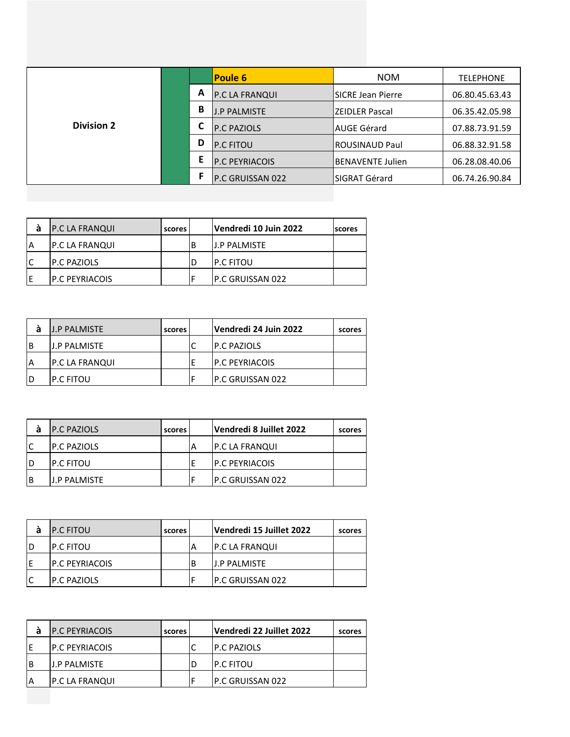|                   |   |                       | <b>NOM</b>                |                  |
|-------------------|---|-----------------------|---------------------------|------------------|
|                   |   | <b>Poule 6</b>        |                           | <b>TELEPHONE</b> |
|                   | A | P.C LA FRANQUI        | <b>ISICRE Jean Pierre</b> | 06.80.45.63.43   |
|                   | В | <b>J.P PALMISTE</b>   | IZEIDLER Pascal           | 06.35.42.05.98   |
| <b>Division 2</b> | С | <b>P.C PAZIOLS</b>    | lAUGE Gérard              | 07.88.73.91.59   |
|                   | D | <b>P.C FITOU</b>      | <b>IROUSINAUD Paul</b>    | 06.88.32.91.58   |
|                   | Е | <b>P.C PEYRIACOIS</b> | <b>IBENAVENTE Julien</b>  | 06.28.08.40.06   |
|                   | F | P.C GRUISSAN 022      | ISIGRAT Gérard            | 06.74.26.90.84   |

| а  | <b>P.C LA FRANQUI</b>  | scores | Vendredi 10 Juin 2022 | scores |
|----|------------------------|--------|-----------------------|--------|
| ۱A | <b>P.C LA FRANQUI</b>  |        | IJ.P PALMISTE         |        |
| lC | <b>IP.C PAZIOLS</b>    |        | IP.C FITOU            |        |
| ΙE | <b>IP.C PEYRIACOIS</b> |        | IP.C GRUISSAN 022     |        |

|   | <b>J.P PALMISTE</b>   | scores | Vendredi 24 Juin 2022  | scores |
|---|-----------------------|--------|------------------------|--------|
| В | <b>J.P PALMISTE</b>   |        | <b>IP.C PAZIOLS</b>    |        |
| Α | <b>P.C LA FRANQUI</b> |        | <b>IP.C PEYRIACOIS</b> |        |
| D | <b>IP.C FITOU</b>     |        | IP.C GRUISSAN 022      |        |

| а  | <b>P.C PAZIOLS</b> | scores |    | Vendredi 8 Juillet 2022 | scores |
|----|--------------------|--------|----|-------------------------|--------|
| ١C | IP.C PAZIOLS       |        | ΙA | P.C LA FRANQUI          |        |
| D  | IP.C FITOU         |        |    | <b>P.C PEYRIACOIS</b>   |        |
| B  | J.P PALMISTE       |        |    | P.C GRUISSAN 022        |        |

| а | <b>P.C FITOU</b>   | scores |   | Vendredi 15 Juillet 2022 | scores |
|---|--------------------|--------|---|--------------------------|--------|
| D | IP.C FITOU         |        |   | <b>P.C LA FRANQUI</b>    |        |
| F | IP.C PEYRIACOIS    |        | В | <b>J.P PALMISTE</b>      |        |
|   | <b>P.C PAZIOLS</b> |        |   | IP.C GRUISSAN 022        |        |

| а  | IP.C PEYRIACOIS | scores | Vendredi 22 Juillet 2022 | scores |
|----|-----------------|--------|--------------------------|--------|
|    | IP.C PEYRIACOIS |        | <b>IP.C PAZIOLS</b>      |        |
| ΙB | IJ.P PALMISTE   |        | <b>IP.C FITOU</b>        |        |
| ΙA | P.C LA FRANQUI  |        | <b>IP.C GRUISSAN 022</b> |        |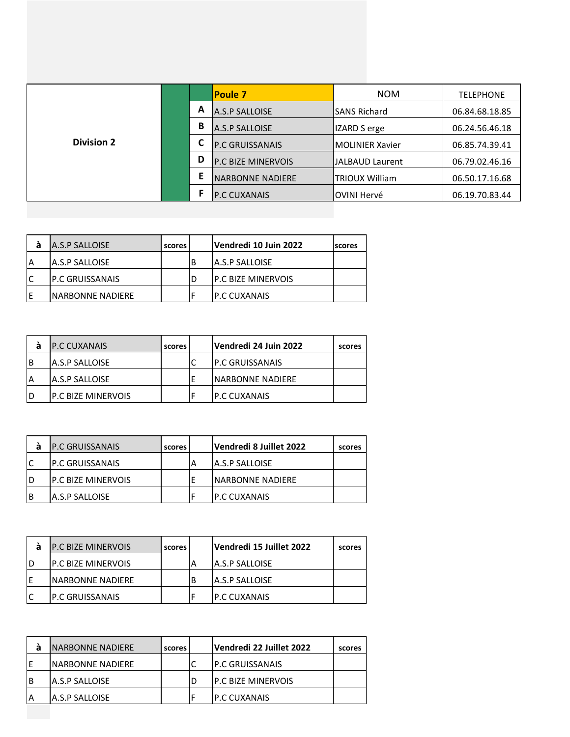|                   |   | <b>Poule 7</b>          | <b>NOM</b>              | <b>TELEPHONE</b> |
|-------------------|---|-------------------------|-------------------------|------------------|
|                   | A | A.S.P SALLOISE          | <b>SANS Richard</b>     | 06.84.68.18.85   |
|                   | В | A.S.P SALLOISE          | IZARD S erge            | 06.24.56.46.18   |
| <b>Division 2</b> | С | P.C GRUISSANAIS         | <b>IMOLINIER Xavier</b> | 06.85.74.39.41   |
|                   | D | P.C BIZE MINERVOIS      | <b>JALBAUD Laurent</b>  | 06.79.02.46.16   |
|                   | E | <b>NARBONNE NADIERE</b> | <b>TRIOUX William</b>   | 06.50.17.16.68   |
|                   | F | <b>P.C CUXANAIS</b>     | OVINI Hervé             | 06.19.70.83.44   |

| A.S.P SALLOISE          | scores |   | Vendredi 10 Juin 2022      | Iscores |
|-------------------------|--------|---|----------------------------|---------|
| <b>A.S.P SALLOISE</b>   |        | В | A.S.P SALLOISE             |         |
| <b>IP.C GRUISSANAIS</b> |        |   | <b>IP.C BIZE MINERVOIS</b> |         |
| INARBONNE NADIERE       |        |   | IP.C CUXANAIS              |         |

|   | <b>IP.C CUXANAIS</b>      | scores | Vendredi 24 Juin 2022 | scores |
|---|---------------------------|--------|-----------------------|--------|
| В | IA.S.P SALLOISE           |        | IP.C GRUISSANAIS      |        |
|   | IA.S.P SALLOISE           |        | INARBONNE NADIERE     |        |
| D | <b>P.C BIZE MINERVOIS</b> |        | <b>IP.C CUXANAIS</b>  |        |

|   | <b>IP.C GRUISSANAIS</b>    | scores | Vendredi 8 Juillet 2022 | scores |
|---|----------------------------|--------|-------------------------|--------|
|   | IP.C GRUISSANAIS           |        | <b>JA.S.P SALLOISE</b>  |        |
| D | <b>IP.C BIZE MINERVOIS</b> |        | INARBONNE NADIERE       |        |
| B | IA.S.P SALLOISE            |        | IP.C CUXANAIS           |        |

|    | <b>IP.C BIZE MINERVOIS</b> | scores |   | Vendredi 15 Juillet 2022 | scores |
|----|----------------------------|--------|---|--------------------------|--------|
| ID | <b>IP.C BIZE MINERVOIS</b> |        | А | <b>A.S.P SALLOISE</b>    |        |
| ΙE | INARBONNE NADIERE          |        | В | <b>A.S.P SALLOISE</b>    |        |
| lC | IP.C GRUISSANAIS           |        |   | <b>IP.C CUXANAIS</b>     |        |

| а  | INARBONNE NADIERE      | scores | Vendredi 22 Juillet 2022   | scores |
|----|------------------------|--------|----------------------------|--------|
| ΙE | INARBONNE NADIERE      |        | <b>IP.C GRUISSANAIS</b>    |        |
| Iв | <b>JA.S.P SALLOISE</b> |        | <b>IP.C BIZE MINERVOIS</b> |        |
| ۱A | IA.S.P SALLOISE        |        | <b>IP.C CUXANAIS</b>       |        |